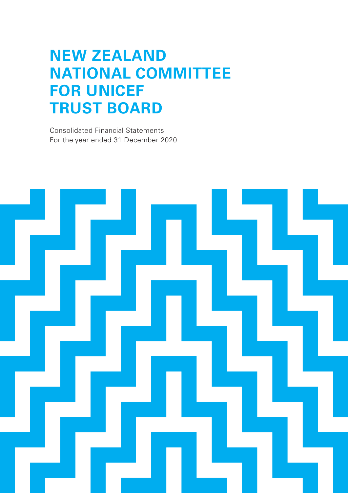Consolidated Financial Statements For the year ended 31 December 2020

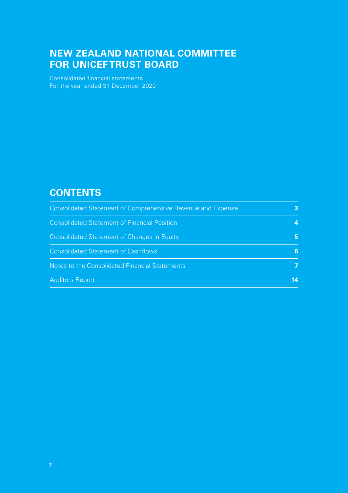Consolidated financial statements For the year ended 31 December 2020

## **CONTENTS**

| Consolidated Statement of Comprehensive Revenue and Expense | 3. |
|-------------------------------------------------------------|----|
| <b>Consolidated Statement of Financial Position</b>         | 4  |
| Consolidated Statement of Changes in Equity                 | 5. |
| <b>Consolidated Statement of Cashflows</b>                  | 6  |
| Notes to the Consolidated Financial Statements              | 7  |
| <b>Auditors Report</b>                                      | 14 |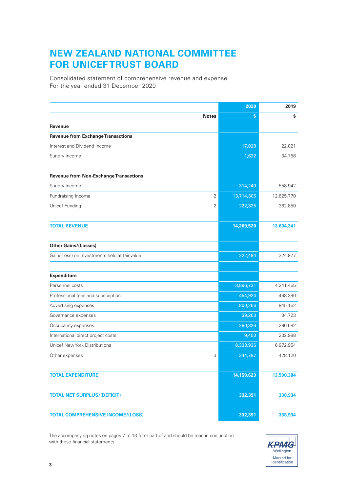Consolidated statement of comprehensive revenue and expense For the year ended 31 December 2020

|                                               |                | 2020       | 2019       |
|-----------------------------------------------|----------------|------------|------------|
|                                               | <b>Notes</b>   | \$         | \$         |
| Revenue                                       |                |            |            |
| <b>Revenue from Exchange Transactions</b>     |                |            |            |
| Interest and Dividend Income                  |                | 17,028     | 22,021     |
| Sundry Income                                 |                | 1,622      | 34,758     |
|                                               |                |            |            |
| <b>Revenue from Non-Exchange Transactions</b> |                |            |            |
| Sundry Income                                 |                | 314,240    | 558,942    |
| Fundraising Income                            | $\overline{2}$ | 13,714,305 | 12,625,770 |
| Unicef Funding                                | $\overline{2}$ | 222,325    | 362,850    |
| <b>TOTAL REVENUE</b>                          |                | 14,269,520 | 13,604,341 |
|                                               |                |            |            |
| <b>Other Gains/(Losses)</b>                   |                |            |            |
| Gain/(Loss) on Investments held at fair value |                | 222,494    | 324,977    |
|                                               |                |            |            |
| <b>Expenditure</b>                            |                |            |            |
| Personnel costs                               |                | 3,896,731  | 4,241,465  |
| Professional fees and subscription            |                | 454,924    | 468,390    |
| Advertising expenses                          |                | 800,256    | 945,162    |
| Governance expenses                           |                | 39,263     | 34,723     |
| Occupancy expenses                            |                | 280,326    | 296,582    |
| International direct project costs            |                | 9,400      | 202,988    |
| Unicef New York Distributions                 |                | 8,333,936  | 6,972,954  |
| Other expenses                                | 3              | 344,787    | 428,120    |
|                                               |                |            |            |
| <b>TOTAL EXPENDITURE</b>                      |                | 14,159,623 | 13,590,384 |
|                                               |                |            |            |
| <b>TOTAL NET SURPLUS/(DEFICIT)</b>            |                | 332,391    | 338,934    |
| <b>TOTAL COMPREHENSIVE INCOME/(LOSS)</b>      |                | 332,391    | 338,934    |

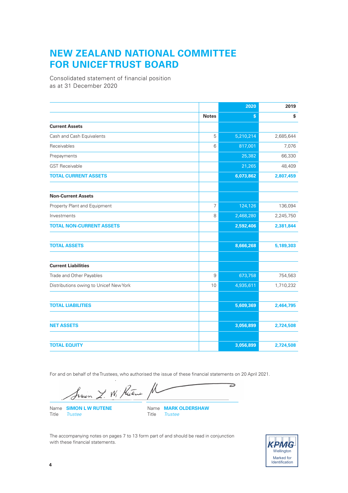Consolidated statement of financial position as at 31 December 2020

|                                        |                | 2020               | 2019      |
|----------------------------------------|----------------|--------------------|-----------|
|                                        | <b>Notes</b>   | $\hat{\mathbf{s}}$ | \$        |
| <b>Current Assets</b>                  |                |                    |           |
| Cash and Cash Equivalents              | 5              | 5,210,214          | 2,685,644 |
| Receivables                            | 6              | 817,001            | 7,076     |
| Prepayments                            |                | 25,382             | 66,330    |
| <b>GST Receivable</b>                  |                | 21,265             | 48,409    |
| <b>TOTAL CURRENT ASSETS</b>            |                | 6,073,862          | 2,807,459 |
| <b>Non-Current Assets</b>              |                |                    |           |
| Property Plant and Equipment           | $\overline{7}$ | 124,126            | 136,094   |
| Investments                            | 8              | 2,468,280          | 2,245,750 |
| <b>TOTAL NON-CURRENT ASSETS</b>        |                | 2,592,406          | 2,381,844 |
| <b>TOTAL ASSETS</b>                    |                | 8,666,268          | 5,189,303 |
| <b>Current Liabilities</b>             |                |                    |           |
| Trade and Other Payables               | 9              | 673,758            | 754,563   |
| Distributions owing to Unicef New York | 10             | 4,935,611          | 1,710,232 |
| <b>TOTAL LIABILITIES</b>               |                | 5,609,369          | 2,464,795 |
| <b>NET ASSETS</b>                      |                | 3,056,899          | 2,724,508 |
| <b>TOTAL EQUITY</b>                    |                | 3,056,899          | 2,724,508 |

For and on behalf of the Trustees, who authorised the issue of these financial statements on 20 April 2021.

Somen Y W, Rutine M

Name **SIMON LW RUTENE**<br>Title *Trustee* Title *Trustee*

Name **MARK OLDERSHAW**<br>Title *Trustee* Title *Trustee*

⊃

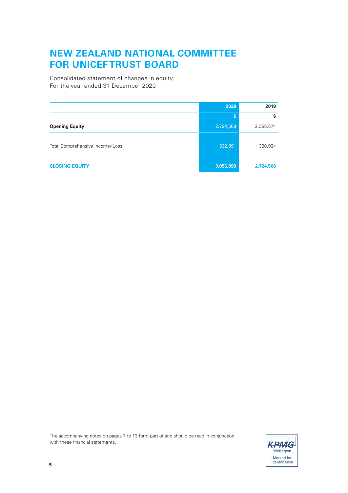Consolidated statement of changes in equity For the year ended 31 December 2020

|                                   | 2020      | 2019      |
|-----------------------------------|-----------|-----------|
|                                   | \$        | S         |
| <b>Opening Equity</b>             | 2,724,508 | 2,385,574 |
|                                   |           |           |
| Total Comprehensive Income/(Loss) | 332,391   | 338,934   |
|                                   |           |           |
| <b>CLOSING EQUITY</b>             | 3,056,899 | 2,724,508 |

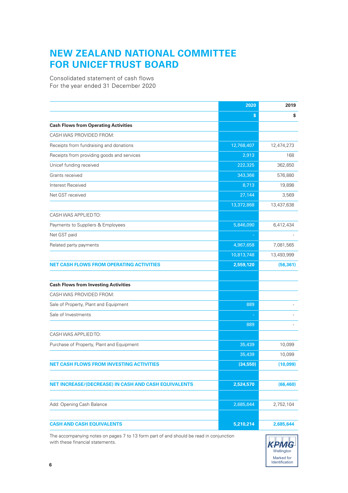Consolidated statement of cash flows For the year ended 31 December 2020

|                                                             | 2020       | 2019       |
|-------------------------------------------------------------|------------|------------|
|                                                             | \$         | \$         |
| <b>Cash Flows from Operating Activities</b>                 |            |            |
| CASH WAS PROVIDED FROM:                                     |            |            |
| Receipts from fundraising and donations                     | 12,768,407 | 12,474,273 |
| Receipts from providing goods and services                  | 2,913      | 168        |
| Unicef funding received                                     | 222,325    | 362,850    |
| Grants received                                             | 343,366    | 576,880    |
| Interest Received                                           | 8,713      | 19,898     |
| Net GST received                                            | 27,144     | 3,569      |
|                                                             | 13,372,868 | 13,437,638 |
| CASH WAS APPLIED TO:                                        |            |            |
| Payments to Suppliers & Employees                           | 5,846,090  | 6,412,434  |
| Net GST paid                                                |            |            |
| Related party payments                                      | 4,967,658  | 7,081,565  |
|                                                             | 10,813,748 | 13,493,999 |
| <b>NET CASH FLOWS FROM OPERATING ACTIVITIES</b>             | 2,559,120  | (56, 361)  |
|                                                             |            |            |
| <b>Cash Flows from Investing Activities</b>                 |            |            |
| CASH WAS PROVIDED FROM:                                     |            |            |
| Sale of Property, Plant and Equipment                       | 889        |            |
| Sale of Investments                                         |            |            |
|                                                             | 889        |            |
| CASH WAS APPLIED TO:                                        |            |            |
| Purchase of Property, Plant and Equipment                   | 35,439     | 10,099     |
|                                                             | 35,439     | 10,099     |
| <b>NET CASH FLOWS FROM INVESTING ACTIVITIES</b>             | (34, 550)  | (10,099)   |
|                                                             |            |            |
| <b>NET INCREASE/(DECREASE) IN CASH AND CASH EQUIVALENTS</b> | 2,524,570  | (66, 460)  |
|                                                             |            |            |
| Add: Opening Cash Balance                                   | 2,685,644  | 2,752,104  |
|                                                             |            |            |
| <b>CASH AND CASH EQUIVALENTS</b>                            | 5,210,214  | 2,685,644  |

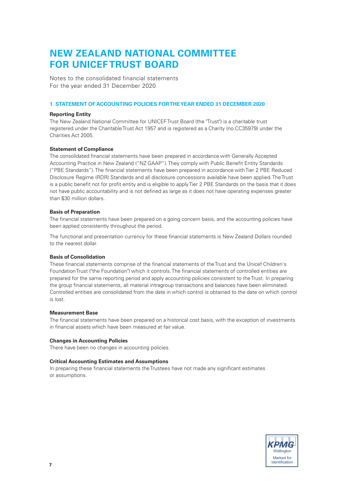Notes to the consolidated financial statements For the year ended 31 December 2020

#### **1. STATEMENT OF ACCOUNTING POLICIES FOR THE YEAR ENDED 31 DECEMBER 2020**

#### **Reporting Entity**

The New Zealand National Committee for UNICEF Trust Board (the "Trust") is a charitable trust registered under the Charitable Trust Act 1957 and is registered as a Charity (no.CC35979) under the Charities Act 2005.

#### **Statement of Compliance**

The consolidated financial statements have been prepared in accordance with Generally Accepted Accounting Practice in New Zealand ("NZ GAAP"). They comply with Public Benefit Entity Standards ("PBE Standards"). The financial statements have been prepared in accordance with Tier 2 PBE Reduced Disclosure Regime (RDR) Standards and all disclosure concessions available have been applied. The Trust is a public benefit not for profit entity and is eligible to apply Tier 2 PBE Standards on the basis that it does not have public accountability and is not defined as large as it does not have operating expenses greater than \$30 million dollars.

#### **Basis of Preparation**

The financial statements have been prepared on a going concern basis, and the accounting policies have been applied consistently throughout the period.

The functional and presentation currency for these financial statements is New Zealand Dollars rounded to the nearest dollar.

#### **Basis of Consolidation**

These financial statements comprise of the financial statements of the Trust and the Unicef Children's Foundation Trust ("the Foundation") which it controls. The financial statements of controlled entities are prepared for the same reporting period and apply accounting policies consistent to the Trust. In preparing the group financial statements, all material intragroup transactions and balances have been eliminated. Controlled entities are consolidated from the date in which control is obtained to the date on which control is lost.

#### **Measurement Base**

The financial statements have been prepared on a historical cost basis, with the exception of investments in financial assets which have been measured at fair value.

#### **Changes in Accounting Policies**

There have been no changes in accounting policies.

#### **Critical Accounting Estimates and Assumptions**

In preparing these financial statements the Trustees have not made any significant estimates or assumptions.

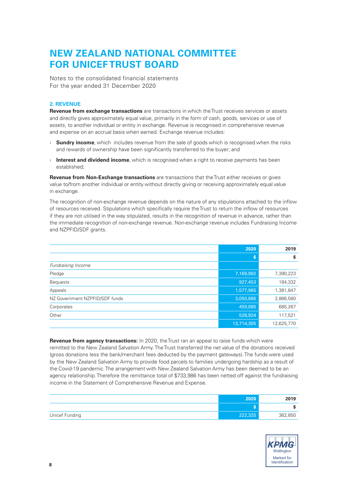Notes to the consolidated financial statements For the year ended 31 December 2020

#### **2. REVENUE**

**Revenue from exchange transactions** are transactions in which the Trust receives services or assets and directly gives approximately equal value, primarily in the form of cash, goods, services or use of assets, to another individual or entity in exchange. Revenue is recognised in comprehensive revenue and expense on an accrual basis when earned. Exchange revenue includes:

- › **Sundry income**, which includes revenue from the sale of goods which is recognised when the risks and rewards of ownership have been significantly transferred to the buyer; and
- › **Interest and dividend income**, which is recognised when a right to receive payments has been established;

**Revenue from Non-Exchange transactions** are transactions that the Trust either receives or gives value to/from another individual or entity without directly giving or receiving approximately equal value in exchange.

The recognition of non-exchange revenue depends on the nature of any stipulations attached to the inflow of resources received. Stipulations which specifically require the Trust to return the inflow of resources if they are not utilised in the way stipulated, results in the recognition of revenue in advance, rather than the immediate recognition of non-exchange revenue. Non-exchange revenue includes Fundraising Income and NZPFID/SDF grants.

|                                | 2020       | 2019       |
|--------------------------------|------------|------------|
|                                |            | \$         |
| Fundraising Income             |            |            |
| Pledge                         | 7,169,992  | 7,390,223  |
| <b>Bequests</b>                | 927,453    | 184,332    |
| Appeals                        | 1,577,965  | 1,381,847  |
| NZ Government NZPFID/SDF funds | 3,050,886  | 2,866,580  |
| Corporates                     | 459,085    | 685,267    |
| Other                          | 528,924    | 117,521    |
|                                | 13,714,305 | 12,625,770 |

**Revenue from agency transactions:** In 2020, the Trust ran an appeal to raise funds which were remitted to the New Zealand Salvation Army. The Trust transferred the net value of the donations received (gross donations less the bank/merchant fees deducted by the payment gateways). The funds were used by the New Zealand Salvation Army to provide food parcels to families undergoing hardship as a result of the Covid-19 pandemic. The arrangement with New Zealand Salvation Army has been deemed to be an agency relationship. Therefore the remittance total of \$733,986 has been netted off against the fundraising income in the Statement of Comprehensive Revenue and Expense.

|                | 2020    | 2019    |
|----------------|---------|---------|
|                |         |         |
| Unicef Funding | 222,325 | 362,850 |

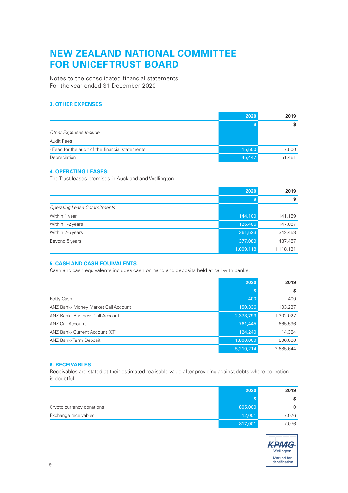Notes to the consolidated financial statements For the year ended 31 December 2020

#### **3. OTHER EXPENSES**

|                                                  | 2020   | 2019   |
|--------------------------------------------------|--------|--------|
|                                                  |        |        |
| Other Expenses Include                           |        |        |
| <b>Audit Fees</b>                                |        |        |
| - Fees for the audit of the financial statements | 15,500 | 7,500  |
| Depreciation                                     | 45,447 | 51,461 |

#### **4. OPERATING LEASES:**

The Trust leases premises in Auckland and Wellington.

|                                    | 2020      | 2019      |
|------------------------------------|-----------|-----------|
|                                    |           | \$        |
| <b>Operating Lease Commitments</b> |           |           |
| Within 1 year                      | 144,100   | 141,159   |
| Within 1-2 years                   | 126,406   | 147,057   |
| Within 2-5 years                   | 361,523   | 342,458   |
| Beyond 5 years                     | 377,089   | 487,457   |
|                                    | 1,009,118 | 1,118,131 |

#### **5. CASH AND CASH EQUIVALENTS**

Cash and cash equivalents includes cash on hand and deposits held at call with banks.

|                                     | 2020      | 2019      |
|-------------------------------------|-----------|-----------|
|                                     |           | s         |
| Petty Cash                          | 400       | 400       |
| ANZ Bank- Money Market Call Account | 150,336   | 103,237   |
| ANZ Bank-Business Call Account      | 2,373,793 | 1,302,027 |
| <b>ANZ Call Account</b>             | 761,445   | 665,596   |
| ANZ Bank- Current Account (CF)      | 124,240   | 14,384    |
| ANZ Bank-Term Deposit               | 1,800,000 | 600,000   |
|                                     | 5,210,214 | 2.685.644 |

#### **6. RECEIVABLES**

Receivables are stated at their estimated realisable value after providing against debts where collection is doubtful.

|                           | 2020    | 2019  |
|---------------------------|---------|-------|
|                           |         |       |
| Crypto currency donations | 805,000 |       |
| Exchange receivables      | 12,001  | 7,076 |
|                           | 817,001 | 7,076 |

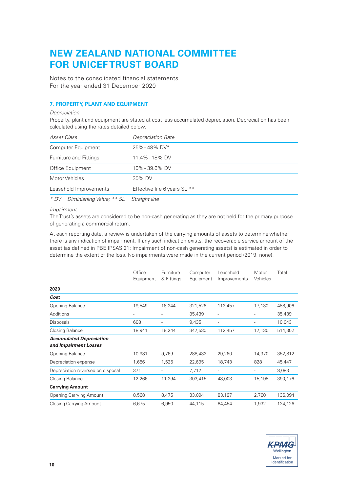Notes to the consolidated financial statements For the year ended 31 December 2020

#### **7. PROPERTY, PLANT AND EQUIPMENT**

#### *Depreciation*

Property, plant and equipment are stated at cost less accumulated depreciation. Depreciation has been calculated using the rates detailed below.

| Asset Class                   | <b>Depreciation Rate</b>     |
|-------------------------------|------------------------------|
| Computer Equipment            | $25\% - 48\%$ DV*            |
| <b>Furniture and Fittings</b> | 11.4% - 18% DV               |
| Office Equipment              | 10% - 39.6% DV               |
| Motor Vehicles                | 30% DV                       |
| Leasehold Improvements        | Effective life 6 years SL ** |
|                               |                              |

*\* DV = Diminishing Value; \*\* SL = Straight line*

#### *Impairment*

The Trust's assets are considered to be non-cash generating as they are not held for the primary purpose of generating a commercial return.

At each reporting date, a review is undertaken of the carrying amounts of assets to determine whether there is any indication of impairment. If any such indication exists, the recoverable service amount of the asset (as defined in PBE IPSAS 21: Impairment of non-cash generating assets) is estimated in order to determine the extent of the loss. No impairments were made in the current period (2019: none).

|                                                          | Office<br>Equipment      | Furniture<br>& Fittings | Computer<br>Equipment | Leasehold<br>Improvements | Motor<br>Vehicles | Total   |
|----------------------------------------------------------|--------------------------|-------------------------|-----------------------|---------------------------|-------------------|---------|
| 2020                                                     |                          |                         |                       |                           |                   |         |
| Cost                                                     |                          |                         |                       |                           |                   |         |
| Opening Balance                                          | 19,549                   | 18,244                  | 321,526               | 112,457                   | 17,130            | 488,906 |
| Additions                                                | $\overline{\phantom{a}}$ |                         | 35,439                | $\overline{\phantom{0}}$  |                   | 35,439  |
| <b>Disposals</b>                                         | 608                      |                         | 9,435                 | $\overline{a}$            |                   | 10,043  |
| Closing Balance                                          | 18,941                   | 18,244                  | 347,530               | 112,457                   | 17,130            | 514,302 |
| <b>Accumulated Depreciation</b><br>and Impairment Losses |                          |                         |                       |                           |                   |         |
| Opening Balance                                          | 10,981                   | 9,769                   | 288,432               | 29,260                    | 14,370            | 352,812 |
| Depreciation expense                                     | 1,656                    | 1,525                   | 22,695                | 18,743                    | 828               | 45,447  |
| Depreciation reversed on disposal                        | 371                      |                         | 7,712                 | $\overline{\phantom{0}}$  |                   | 8,083   |
| Closing Balance                                          | 12,266                   | 11,294                  | 303,415               | 48,003                    | 15,198            | 390,176 |
| <b>Carrying Amount</b>                                   |                          |                         |                       |                           |                   |         |
| <b>Opening Carrying Amount</b>                           | 8,568                    | 8,475                   | 33,094                | 83,197                    | 2,760             | 136,094 |
| Closing Carrying Amount                                  | 6,675                    | 6,950                   | 44,115                | 64,454                    | 1,932             | 124,126 |

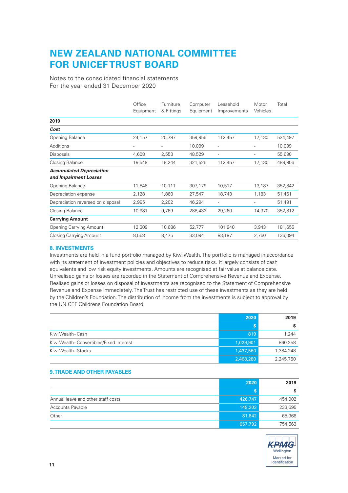Notes to the consolidated financial statements For the year ended 31 December 2020

|                                                          | Office    | Furniture  | Computer  | Leasehold                    | Motor          | Total   |
|----------------------------------------------------------|-----------|------------|-----------|------------------------------|----------------|---------|
|                                                          | Equipment | & Fittings | Equipment | Improvements                 | Vehicles       |         |
| 2019                                                     |           |            |           |                              |                |         |
| Cost                                                     |           |            |           |                              |                |         |
| Opening Balance                                          | 24,157    | 20,797     | 359,956   | 112,457                      | 17,130         | 534,497 |
| Additions                                                |           |            | 10,099    | $\overline{\phantom{0}}$     |                | 10,099  |
| <b>Disposals</b>                                         | 4,608     | 2,553      | 48,529    | $\qquad \qquad \blacksquare$ | $\overline{a}$ | 55,690  |
| Closing Balance                                          | 19,549    | 18,244     | 321,526   | 112,457                      | 17,130         | 488,906 |
| <b>Accumulated Depreciation</b><br>and Impairment Losses |           |            |           |                              |                |         |
| Opening Balance                                          | 11,848    | 10,111     | 307,179   | 10,517                       | 13,187         | 352,842 |
| Depreciation expense                                     | 2,128     | 1,860      | 27,547    | 18,743                       | 1,183          | 51,461  |
| Depreciation reversed on disposal                        | 2,995     | 2,202      | 46,294    | $\overline{\phantom{a}}$     | $\overline{a}$ | 51,491  |
| Closing Balance                                          | 10,981    | 9,769      | 288,432   | 29,260                       | 14,370         | 352,812 |
| <b>Carrying Amount</b>                                   |           |            |           |                              |                |         |
| <b>Opening Carrying Amount</b>                           | 12,309    | 10,686     | 52,777    | 101,940                      | 3,943          | 181,655 |
| <b>Closing Carrying Amount</b>                           | 8,568     | 8,475      | 33,094    | 83,197                       | 2,760          | 136,094 |
|                                                          |           |            |           |                              |                |         |

#### **8. INVESTMENTS**

Investments are held in a fund portfolio managed by Kiwi Wealth. The portfolio is managed in accordance with its statement of investment policies and objectives to reduce risks. It largely consists of cash equivalents and low risk equity investments. Amounts are recognised at fair value at balance date. Unrealised gains or losses are recorded in the Statement of Comprehensive Revenue and Expense. Realised gains or losses on disposal of investments are recognised to the Statement of Comprehensive Revenue and Expense immediately. The Trust has restricted use of these investments as they are held by the Children's Foundation. The distribution of income from the investments is subject to approval by the UNICEF Childrens Foundation Board.

|                                         | 2020      | 2019      |
|-----------------------------------------|-----------|-----------|
|                                         |           |           |
| Kiwi Wealth - Cash                      | 819       | 1.244     |
| Kiwi Wealth-Convertibles/Fixed Interest | 1,029,901 | 860,258   |
| Kiwi Wealth - Stocks                    | 1,437,560 | 1,384,248 |
|                                         | 2,468,280 | 2.245.750 |

#### **9. TRADE AND OTHER PAYABLES**

|                                    | 2020    | 2019    |  |
|------------------------------------|---------|---------|--|
|                                    |         | \$      |  |
| Annual leave and other staff costs | 426,747 | 454,902 |  |
| <b>Accounts Payable</b>            | 149,203 | 233,695 |  |
| Other                              | 81,842  | 65,966  |  |
|                                    | 657,792 | 754,563 |  |

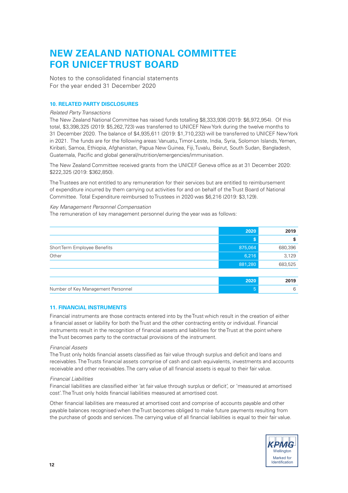Notes to the consolidated financial statements For the year ended 31 December 2020

#### **10. RELATED PARTY DISCLOSURES**

#### *Related Party Transactions*

The New Zealand National Committee has raised funds totalling \$8,333,936 (2019: \$6,972,954). Of this total, \$3,398,325 (2019: \$5,262,723) was transferred to UNICEF New York during the twelve months to 31 December 2020. The balance of \$4,935,611 (2019: \$1,710,232) will be transferred to UNICEF New York in 2021. The funds are for the following areas: Vanuatu, Timor-Leste, India, Syria, Solomon Islands, Yemen, Kiribati, Samoa, Ethiopia, Afghanistan, Papua New Guinea, Fiji, Tuvalu, Beirut, South Sudan, Bangladesh, Guatemala, Pacific and global general/nutrition/emergencies/immunisation.

The New Zealand Committee received grants from the UNICEF Geneva office as at 31 December 2020: \$222,325 (2019: \$362,850).

The Trustees are not entitled to any remuneration for their services but are entitled to reimbursement of expenditure incurred by them carrying out activities for and on behalf of the Trust Board of National Committee. Total Expenditure reimbursed to Trustees in 2020 was \$6,216 (2019: \$3,129).

#### *Key Management Personnel Compensation*

The remuneration of key management personnel during the year was as follows:

|                                    | 2020    | 2019    |
|------------------------------------|---------|---------|
|                                    |         | s       |
| Short Term Employee Benefits       | 875,064 | 680,396 |
| Other                              | 6,216   | 3,129   |
|                                    | 881,280 | 683,525 |
|                                    |         |         |
|                                    | 2020    | 2019    |
| Number of Key Management Personnel |         | 6       |

#### **11. FINANCIAL INSTRUMENTS**

Financial instruments are those contracts entered into by the Trust which result in the creation of either a financial asset or liability for both the Trust and the other contracting entity or individual. Financial instruments result in the recognition of financial assets and liabilities for the Trust at the point where the Trust becomes party to the contractual provisions of the instrument.

#### *Financial Assets*

The Trust only holds financial assets classified as fair value through surplus and deficit and loans and receivables. The Trusts financial assets comprise of cash and cash equivalents, investments and accounts receivable and other receivables. The carry value of all financial assets is equal to their fair value.

#### *Financial Liabilities*

Financial liabilities are classified either 'at fair value through surplus or deficit', or 'measured at amortised cost'. The Trust only holds financial liabilities measured at amortised cost.

Other financial liabilities are measured at amortised cost and comprise of accounts payable and other payable balances recognised when the Trust becomes obliged to make future payments resulting from the purchase of goods and services. The carrying value of all financial liabilities is equal to their fair value.

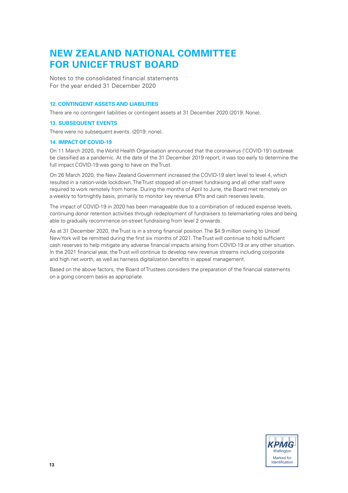Notes to the consolidated financial statements For the year ended 31 December 2020

#### **12. CONTINGENT ASSETS AND LIABILITIES**

There are no contingent liabilities or contingent assets at 31 December 2020 (2019: None).

#### **13. SUBSEQUENT EVENTS**

There were no subsequent events. (2019: none).

#### **14. IMPACT OF COVID-19**

On 11 March 2020, the World Health Organisation announced that the coronavirus ('COVID-19') outbreak be classified as a pandemic. At the date of the 31 December 2019 report, it was too early to determine the full impact COVID-19 was going to have on the Trust.

On 26 March 2020, the New Zealand Government increased the COVID-19 alert level to level 4, which resulted in a nation-wide lockdown. The Trust stopped all on-street fundraising and all other staff were required to work remotely from home. During the months of April to June, the Board met remotely on a weekly to fortnightly basis, primarily to monitor key revenue KPIs and cash reserves levels.

The impact of COVID-19 in 2020 has been manageable due to a combination of reduced expense levels, continuing donor retention activities through redeployment of fundraisers to telemarketing roles and being able to gradually recommence on-street fundraising from level 2 onwards.

As at 31 December 2020, the Trust is in a strong financial position. The \$4.9 million owing to Unicef New York will be remitted during the first six months of 2021. The Trust will continue to hold sufficient cash reserves to help mitigate any adverse financial impacts arising from COVID-19 or any other situation. In the 2021 financial year, the Trust will continue to develop new revenue streams including corporate and high net worth, as well as harness digitalization benefits in appeal management.

Based on the above factors, the Board of Trustees considers the preparation of the financial statements on a going concern basis as appropriate.

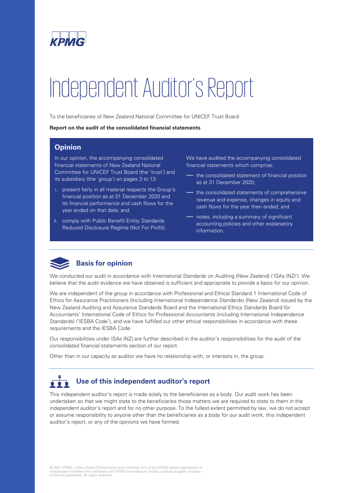

# Independent Auditor's Report

To the beneficiaries of New Zealand National Committee for UNICEF Trust Board

#### **Report on the audit of the consolidated financial statements**

#### **Opinion**

In our opinion, the accompanying consolidated financial statements of New Zealand National Committee for UNICEF Trust Board (the 'trust') and its subsidiary (the 'group') on pages 3 to 13:

- i. present fairly in all material respects the Group's financial position as at 31 December 2020 and its financial performance and cash flows for the year ended on that date; and
- ii. comply with Public Benefit Entity Standards Reduced Disclosure Regime (Not For Profit).

We have audited the accompanying consolidated financial statements which comprise:

- the consolidated statement of financial position as at 31 December 2020;
- the consolidated statements of comprehensive revenue and expense, changes in equity and cash flows for the year then ended; and
- notes, including a summary of significant accounting policies and other explanatory information.



We conducted our audit in accordance with International Standards on Auditing (New Zealand) ('ISAs (NZ)'). We believe that the audit evidence we have obtained is sufficient and appropriate to provide a basis for our opinion.

We are independent of the group in accordance with Professional and Ethical Standard 1 International Code of Ethics for Assurance Practitioners (Including International Independence Standards) (New Zealand) issued by the New Zealand Auditing and Assurance Standards Board and the International Ethics Standards Board for Accountants' International Code of Ethics for Professional Accountants (including International Independence Standards) ('IESBA Code'), and we have fulfilled our other ethical responsibilities in accordance with these requirements and the IESBA Code.

Our responsibilities under ISAs (NZ) are further described in the auditor's responsibilities for the audit of the consolidated financial statements section of our report.

Other than in our capacity as auditor we have no relationship with, or interests in, the group.

#### **Use of this independent auditor's report**  $\bullet \bullet \bullet$

This independent auditor's report is made solely to the beneficiaries as a body. Our audit work has been undertaken so that we might state to the beneficiaries those matters we are required to state to them in the independent auditor's report and for no other purpose. To the fullest extent permitted by law, we do not accept or assume responsibility to anyone other than the beneficiaries as a body for our audit work, this independent auditor's report, or any of the opinions we have formed.